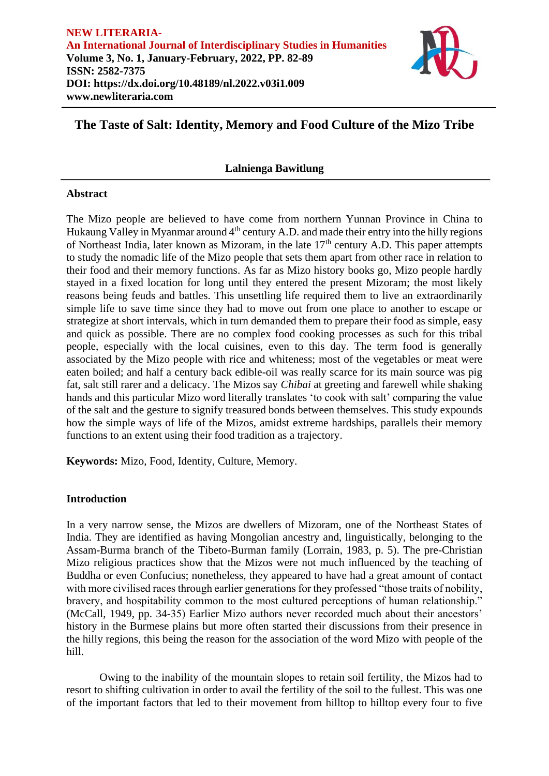

# **The Taste of Salt: Identity, Memory and Food Culture of the Mizo Tribe**

# **Lalnienga Bawitlung**

## **Abstract**

The Mizo people are believed to have come from northern Yunnan Province in China to Hukaung Valley in Myanmar around  $4<sup>th</sup>$  century A.D. and made their entry into the hilly regions of Northeast India, later known as Mizoram, in the late  $17<sup>th</sup>$  century A.D. This paper attempts to study the nomadic life of the Mizo people that sets them apart from other race in relation to their food and their memory functions. As far as Mizo history books go, Mizo people hardly stayed in a fixed location for long until they entered the present Mizoram; the most likely reasons being feuds and battles. This unsettling life required them to live an extraordinarily simple life to save time since they had to move out from one place to another to escape or strategize at short intervals, which in turn demanded them to prepare their food as simple, easy and quick as possible. There are no complex food cooking processes as such for this tribal people, especially with the local cuisines, even to this day. The term food is generally associated by the Mizo people with rice and whiteness; most of the vegetables or meat were eaten boiled; and half a century back edible-oil was really scarce for its main source was pig fat, salt still rarer and a delicacy. The Mizos say *Chibai* at greeting and farewell while shaking hands and this particular Mizo word literally translates 'to cook with salt' comparing the value of the salt and the gesture to signify treasured bonds between themselves. This study expounds how the simple ways of life of the Mizos, amidst extreme hardships, parallels their memory functions to an extent using their food tradition as a trajectory.

**Keywords:** Mizo, Food, Identity, Culture, Memory.

# **Introduction**

In a very narrow sense, the Mizos are dwellers of Mizoram, one of the Northeast States of India. They are identified as having Mongolian ancestry and, linguistically, belonging to the Assam-Burma branch of the Tibeto-Burman family (Lorrain, 1983, p. 5). The pre-Christian Mizo religious practices show that the Mizos were not much influenced by the teaching of Buddha or even Confucius; nonetheless, they appeared to have had a great amount of contact with more civilised races through earlier generations for they professed "those traits of nobility, bravery, and hospitability common to the most cultured perceptions of human relationship." (McCall, 1949, pp. 34-35) Earlier Mizo authors never recorded much about their ancestors' history in the Burmese plains but more often started their discussions from their presence in the hilly regions, this being the reason for the association of the word Mizo with people of the hill.

Owing to the inability of the mountain slopes to retain soil fertility, the Mizos had to resort to shifting cultivation in order to avail the fertility of the soil to the fullest. This was one of the important factors that led to their movement from hilltop to hilltop every four to five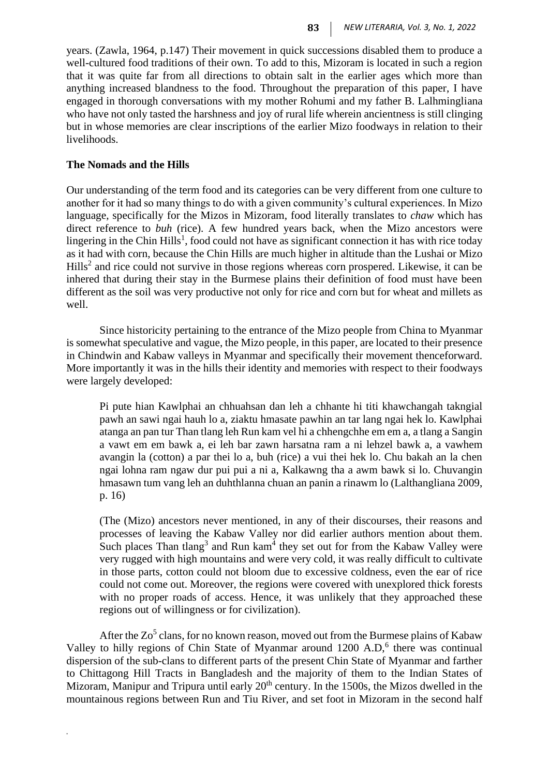years. (Zawla, 1964, p.147) Their movement in quick successions disabled them to produce a well-cultured food traditions of their own. To add to this, Mizoram is located in such a region that it was quite far from all directions to obtain salt in the earlier ages which more than anything increased blandness to the food. Throughout the preparation of this paper, I have engaged in thorough conversations with my mother Rohumi and my father B. Lalhmingliana who have not only tasted the harshness and joy of rural life wherein ancientness is still clinging but in whose memories are clear inscriptions of the earlier Mizo foodways in relation to their livelihoods.

## **The Nomads and the Hills**

*.*

Our understanding of the term food and its categories can be very different from one culture to another for it had so many things to do with a given community's cultural experiences. In Mizo language, specifically for the Mizos in Mizoram, food literally translates to *chaw* which has direct reference to *buh* (rice). A few hundred years back, when the Mizo ancestors were lingering in the Chin Hills<sup>1</sup>, food could not have as significant connection it has with rice today as it had with corn, because the Chin Hills are much higher in altitude than the Lushai or Mizo  $Hills<sup>2</sup>$  and rice could not survive in those regions whereas corn prospered. Likewise, it can be inhered that during their stay in the Burmese plains their definition of food must have been different as the soil was very productive not only for rice and corn but for wheat and millets as well.

Since historicity pertaining to the entrance of the Mizo people from China to Myanmar is somewhat speculative and vague, the Mizo people, in this paper, are located to their presence in Chindwin and Kabaw valleys in Myanmar and specifically their movement thenceforward. More importantly it was in the hills their identity and memories with respect to their foodways were largely developed:

Pi pute hian Kawlphai an chhuahsan dan leh a chhante hi titi khawchangah takngial pawh an sawi ngai hauh lo a, ziaktu hmasate pawhin an tar lang ngai hek lo. Kawlphai atanga an pan tur Than tlang leh Run kam vel hi a chhengchhe em em a, a tlang a Sangin a vawt em em bawk a, ei leh bar zawn harsatna ram a ni lehzel bawk a, a vawhem avangin la (cotton) a par thei lo a, buh (rice) a vui thei hek lo. Chu bakah an la chen ngai lohna ram ngaw dur pui pui a ni a, Kalkawng tha a awm bawk si lo. Chuvangin hmasawn tum vang leh an duhthlanna chuan an panin a rinawm lo (Lalthangliana 2009, p. 16)

(The (Mizo) ancestors never mentioned, in any of their discourses, their reasons and processes of leaving the Kabaw Valley nor did earlier authors mention about them. Such places Than tlang<sup>3</sup> and Run kam<sup>4</sup> they set out for from the Kabaw Valley were very rugged with high mountains and were very cold, it was really difficult to cultivate in those parts, cotton could not bloom due to excessive coldness, even the ear of rice could not come out. Moreover, the regions were covered with unexplored thick forests with no proper roads of access. Hence, it was unlikely that they approached these regions out of willingness or for civilization).

After the  $Zo<sup>5</sup>$  clans, for no known reason, moved out from the Burmese plains of Kabaw Valley to hilly regions of Chin State of Myanmar around 1200 A.D,<sup>6</sup> there was continual dispersion of the sub-clans to different parts of the present Chin State of Myanmar and farther to Chittagong Hill Tracts in Bangladesh and the majority of them to the Indian States of Mizoram, Manipur and Tripura until early  $20<sup>th</sup>$  century. In the 1500s, the Mizos dwelled in the mountainous regions between Run and Tiu River, and set foot in Mizoram in the second half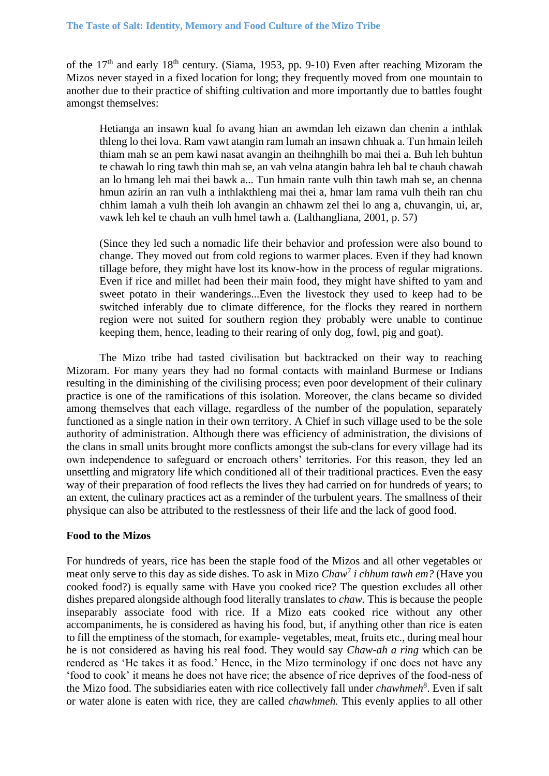of the 17<sup>th</sup> and early 18<sup>th</sup> century. (Siama, 1953, pp. 9-10) Even after reaching Mizoram the Mizos never stayed in a fixed location for long; they frequently moved from one mountain to another due to their practice of shifting cultivation and more importantly due to battles fought amongst themselves:

Hetianga an insawn kual fo avang hian an awmdan leh eizawn dan chenin a inthlak thleng lo thei lova. Ram vawt atangin ram lumah an insawn chhuak a. Tun hmain leileh thiam mah se an pem kawi nasat avangin an theihnghilh bo mai thei a. Buh leh buhtun te chawah lo ring tawh thin mah se, an vah velna atangin bahra leh bal te chauh chawah an lo hmang leh mai thei bawk a... Tun hmain rante vulh thin tawh mah se, an chenna hmun azirin an ran vulh a inthlakthleng mai thei a, hmar lam rama vulh theih ran chu chhim lamah a vulh theih loh avangin an chhawm zel thei lo ang a, chuvangin, ui, ar, vawk leh kel te chauh an vulh hmel tawh a*.* (Lalthangliana, 2001, p. 57)

(Since they led such a nomadic life their behavior and profession were also bound to change. They moved out from cold regions to warmer places. Even if they had known tillage before, they might have lost its know-how in the process of regular migrations. Even if rice and millet had been their main food, they might have shifted to yam and sweet potato in their wanderings...Even the livestock they used to keep had to be switched inferably due to climate difference, for the flocks they reared in northern region were not suited for southern region they probably were unable to continue keeping them, hence, leading to their rearing of only dog, fowl, pig and goat).

The Mizo tribe had tasted civilisation but backtracked on their way to reaching Mizoram. For many years they had no formal contacts with mainland Burmese or Indians resulting in the diminishing of the civilising process; even poor development of their culinary practice is one of the ramifications of this isolation. Moreover, the clans became so divided among themselves that each village, regardless of the number of the population, separately functioned as a single nation in their own territory. A Chief in such village used to be the sole authority of administration. Although there was efficiency of administration, the divisions of the clans in small units brought more conflicts amongst the sub-clans for every village had its own independence to safeguard or encroach others' territories. For this reason, they led an unsettling and migratory life which conditioned all of their traditional practices. Even the easy way of their preparation of food reflects the lives they had carried on for hundreds of years; to an extent, the culinary practices act as a reminder of the turbulent years. The smallness of their physique can also be attributed to the restlessness of their life and the lack of good food.

### **Food to the Mizos**

For hundreds of years, rice has been the staple food of the Mizos and all other vegetables or meat only serve to this day as side dishes. To ask in Mizo *Chaw*<sup>7</sup> *i chhum tawh em?* (Have you cooked food?) is equally same with Have you cooked rice? The question excludes all other dishes prepared alongside although food literally translates to *chaw.* This is because the people inseparably associate food with rice. If a Mizo eats cooked rice without any other accompaniments, he is considered as having his food, but, if anything other than rice is eaten to fill the emptiness of the stomach, for example- vegetables, meat, fruits etc., during meal hour he is not considered as having his real food. They would say *Chaw-ah a ring* which can be rendered as 'He takes it as food.' Hence, in the Mizo terminology if one does not have any 'food to cook' it means he does not have rice; the absence of rice deprives of the food-ness of the Mizo food. The subsidiaries eaten with rice collectively fall under *chawhmeh*<sup>8</sup>. Even if salt or water alone is eaten with rice, they are called *chawhmeh.* This evenly applies to all other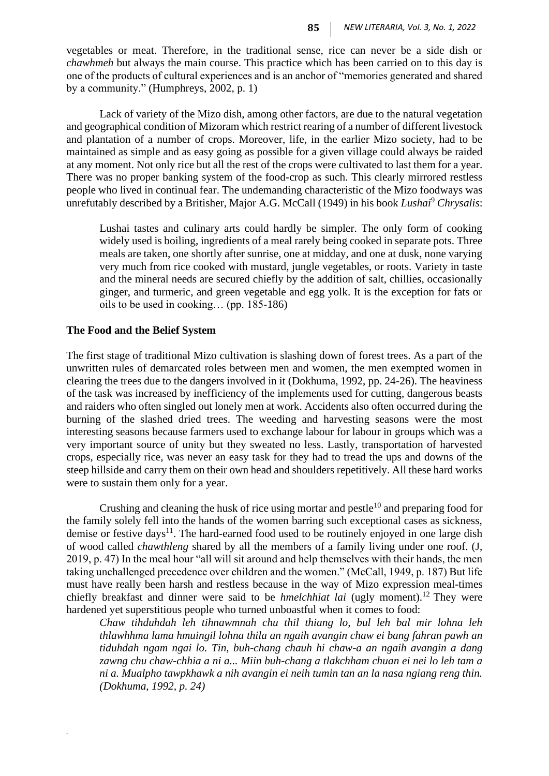vegetables or meat. Therefore, in the traditional sense, rice can never be a side dish or *chawhmeh* but always the main course. This practice which has been carried on to this day is one of the products of cultural experiences and is an anchor of "memories generated and shared by a community." (Humphreys, 2002, p. 1)

Lack of variety of the Mizo dish, among other factors, are due to the natural vegetation and geographical condition of Mizoram which restrict rearing of a number of different livestock and plantation of a number of crops. Moreover, life, in the earlier Mizo society, had to be maintained as simple and as easy going as possible for a given village could always be raided at any moment. Not only rice but all the rest of the crops were cultivated to last them for a year. There was no proper banking system of the food-crop as such. This clearly mirrored restless people who lived in continual fear. The undemanding characteristic of the Mizo foodways was unrefutably described by a Britisher, Major A.G. McCall (1949) in his book *Lushai*<sup>9</sup> *Chrysalis*:

Lushai tastes and culinary arts could hardly be simpler. The only form of cooking widely used is boiling, ingredients of a meal rarely being cooked in separate pots. Three meals are taken, one shortly after sunrise, one at midday, and one at dusk, none varying very much from rice cooked with mustard, jungle vegetables, or roots. Variety in taste and the mineral needs are secured chiefly by the addition of salt, chillies, occasionally ginger, and turmeric, and green vegetable and egg yolk. It is the exception for fats or oils to be used in cooking… (pp. 185-186)

#### **The Food and the Belief System**

*.*

The first stage of traditional Mizo cultivation is slashing down of forest trees. As a part of the unwritten rules of demarcated roles between men and women, the men exempted women in clearing the trees due to the dangers involved in it (Dokhuma, 1992, pp. 24-26). The heaviness of the task was increased by inefficiency of the implements used for cutting, dangerous beasts and raiders who often singled out lonely men at work. Accidents also often occurred during the burning of the slashed dried trees. The weeding and harvesting seasons were the most interesting seasons because farmers used to exchange labour for labour in groups which was a very important source of unity but they sweated no less. Lastly, transportation of harvested crops, especially rice, was never an easy task for they had to tread the ups and downs of the steep hillside and carry them on their own head and shoulders repetitively. All these hard works were to sustain them only for a year.

Crushing and cleaning the husk of rice using mortar and pestle<sup>10</sup> and preparing food for the family solely fell into the hands of the women barring such exceptional cases as sickness, demise or festive days<sup>11</sup>. The hard-earned food used to be routinely enjoyed in one large dish of wood called *chawthleng* shared by all the members of a family living under one roof. (J, 2019, p. 47) In the meal hour "all will sit around and help themselves with their hands, the men taking unchallenged precedence over children and the women." (McCall, 1949, p. 187) But life must have really been harsh and restless because in the way of Mizo expression meal-times chiefly breakfast and dinner were said to be *hmelchhiat lai* (ugly moment).<sup>12</sup> They were hardened yet superstitious people who turned unboastful when it comes to food:

*Chaw tihduhdah leh tihnawmnah chu thil thiang lo, bul leh bal mir lohna leh thlawhhma lama hmuingil lohna thila an ngaih avangin chaw ei bang fahran pawh an tiduhdah ngam ngai lo. Tin, buh-chang chauh hi chaw-a an ngaih avangin a dang zawng chu chaw-chhia a ni a... Miin buh-chang a tlakchham chuan ei nei lo leh tam a ni a. Mualpho tawpkhawk a nih avangin ei neih tumin tan an la nasa ngiang reng thin. (Dokhuma, 1992, p. 24)*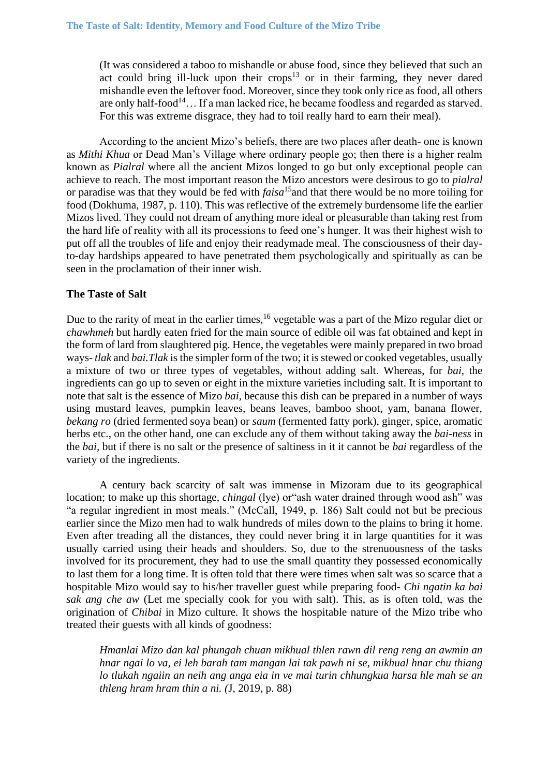(It was considered a taboo to mishandle or abuse food, since they believed that such an act could bring ill-luck upon their crops<sup>13</sup> or in their farming, they never dared mishandle even the leftover food. Moreover, since they took only rice as food, all others are only half-food<sup>14</sup>... If a man lacked rice, he became foodless and regarded as starved. For this was extreme disgrace, they had to toil really hard to earn their meal).

According to the ancient Mizo's beliefs, there are two places after death- one is known as *Mithi Khua* or Dead Man's Village where ordinary people go; then there is a higher realm known as *Pialral* where all the ancient Mizos longed to go but only exceptional people can achieve to reach. The most important reason the Mizo ancestors were desirous to go to *pialral*  or paradise was that they would be fed with *faisa*<sup>15</sup>and that there would be no more toiling for food (Dokhuma, 1987, p. 110). This was reflective of the extremely burdensome life the earlier Mizos lived. They could not dream of anything more ideal or pleasurable than taking rest from the hard life of reality with all its processions to feed one's hunger. It was their highest wish to put off all the troubles of life and enjoy their readymade meal. The consciousness of their dayto-day hardships appeared to have penetrated them psychologically and spiritually as can be seen in the proclamation of their inner wish.

### **The Taste of Salt**

Due to the rarity of meat in the earlier times,<sup>16</sup> vegetable was a part of the Mizo regular diet or *chawhmeh* but hardly eaten fried for the main source of edible oil was fat obtained and kept in the form of lard from slaughtered pig. Hence, the vegetables were mainly prepared in two broad ways- *tlak* and *bai.Tlak* is the simpler form of the two; it is stewed or cooked vegetables, usually a mixture of two or three types of vegetables, without adding salt. Whereas, for *bai,* the ingredients can go up to seven or eight in the mixture varieties including salt. It is important to note that salt is the essence of Mizo *bai,* because this dish can be prepared in a number of ways using mustard leaves, pumpkin leaves, beans leaves, bamboo shoot, yam, banana flower, *bekang ro* (dried fermented soya bean) or *saum* (fermented fatty pork), ginger, spice, aromatic herbs etc., on the other hand, one can exclude any of them without taking away the *bai-ness* in the *bai,* but if there is no salt or the presence of saltiness in it it cannot be *bai* regardless of the variety of the ingredients.

A century back scarcity of salt was immense in Mizoram due to its geographical location; to make up this shortage, *chingal* (lye) or"ash water drained through wood ash" was "a regular ingredient in most meals." (McCall, 1949, p. 186) Salt could not but be precious earlier since the Mizo men had to walk hundreds of miles down to the plains to bring it home. Even after treading all the distances, they could never bring it in large quantities for it was usually carried using their heads and shoulders. So, due to the strenuousness of the tasks involved for its procurement, they had to use the small quantity they possessed economically to last them for a long time. It is often told that there were times when salt was so scarce that a hospitable Mizo would say to his/her traveller guest while preparing food- *Chi ngatin ka bai sak ang che aw* (Let me specially cook for you with salt). This, as is often told, was the origination of *Chibai* in Mizo culture*.* It shows the hospitable nature of the Mizo tribe who treated their guests with all kinds of goodness:

*Hmanlai Mizo dan kal phungah chuan mikhual thlen rawn dil reng reng an awmin an hnar ngai lo va, ei leh barah tam mangan lai tak pawh ni se, mikhual hnar chu thiang lo tlukah ngaiin an neih ang anga eia in ve mai turin chhungkua harsa hle mah se an thleng hram hram thin a ni. (*J, 2019, p. 88)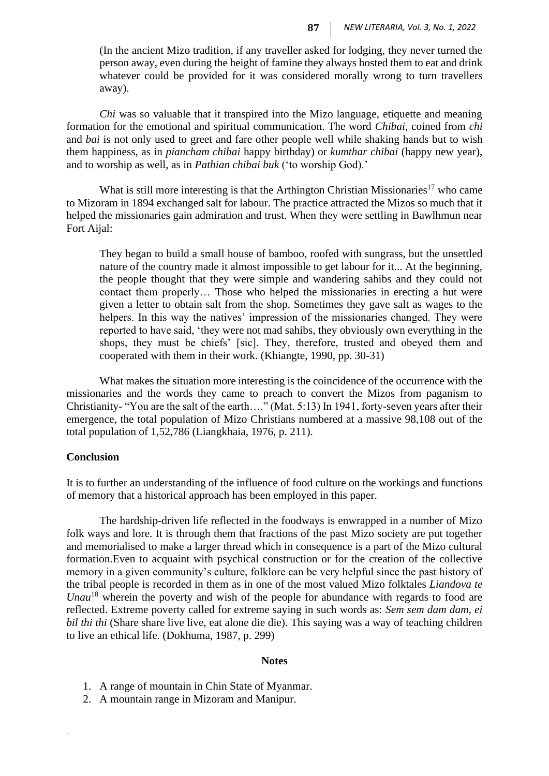(In the ancient Mizo tradition, if any traveller asked for lodging, they never turned the person away, even during the height of famine they always hosted them to eat and drink whatever could be provided for it was considered morally wrong to turn travellers away).

*Chi* was so valuable that it transpired into the Mizo language, etiquette and meaning formation for the emotional and spiritual communication. The word *Chibai,* coined from *chi*  and *bai* is not only used to greet and fare other people well while shaking hands but to wish them happiness, as in *piancham chibai* happy birthday) or *kumthar chibai* (happy new year), and to worship as well, as in *Pathian chibai buk* ('to worship God).'

What is still more interesting is that the Arthington Christian Missionaries<sup>17</sup> who came to Mizoram in 1894 exchanged salt for labour. The practice attracted the Mizos so much that it helped the missionaries gain admiration and trust. When they were settling in Bawlhmun near Fort Aijal:

They began to build a small house of bamboo, roofed with sungrass, but the unsettled nature of the country made it almost impossible to get labour for it... At the beginning, the people thought that they were simple and wandering sahibs and they could not contact them properly… Those who helped the missionaries in erecting a hut were given a letter to obtain salt from the shop. Sometimes they gave salt as wages to the helpers. In this way the natives' impression of the missionaries changed. They were reported to have said, 'they were not mad sahibs, they obviously own everything in the shops, they must be chiefs' [sic]. They, therefore, trusted and obeyed them and cooperated with them in their work. (Khiangte, 1990, pp. 30-31)

What makes the situation more interesting is the coincidence of the occurrence with the missionaries and the words they came to preach to convert the Mizos from paganism to Christianity- "You are the salt of the earth…." (Mat. 5:13) In 1941, forty-seven years after their emergence, the total population of Mizo Christians numbered at a massive 98,108 out of the total population of 1,52,786 (Liangkhaia, 1976, p. 211).

#### **Conclusion**

*.*

It is to further an understanding of the influence of food culture on the workings and functions of memory that a historical approach has been employed in this paper.

The hardship-driven life reflected in the foodways is enwrapped in a number of Mizo folk ways and lore. It is through them that fractions of the past Mizo society are put together and memorialised to make a larger thread which in consequence is a part of the Mizo cultural formation.Even to acquaint with psychical construction or for the creation of the collective memory in a given community's culture, folklore can be very helpful since the past history of the tribal people is recorded in them as in one of the most valued Mizo folktales *Liandova te Unau*<sup>18</sup> wherein the poverty and wish of the people for abundance with regards to food are reflected. Extreme poverty called for extreme saying in such words as: *Sem sem dam dam, ei bil thi thi* (Share share live live, eat alone die die). This saying was a way of teaching children to live an ethical life. (Dokhuma, 1987, p. 299)

#### **Notes**

- 1. A range of mountain in Chin State of Myanmar.
- 2. A mountain range in Mizoram and Manipur.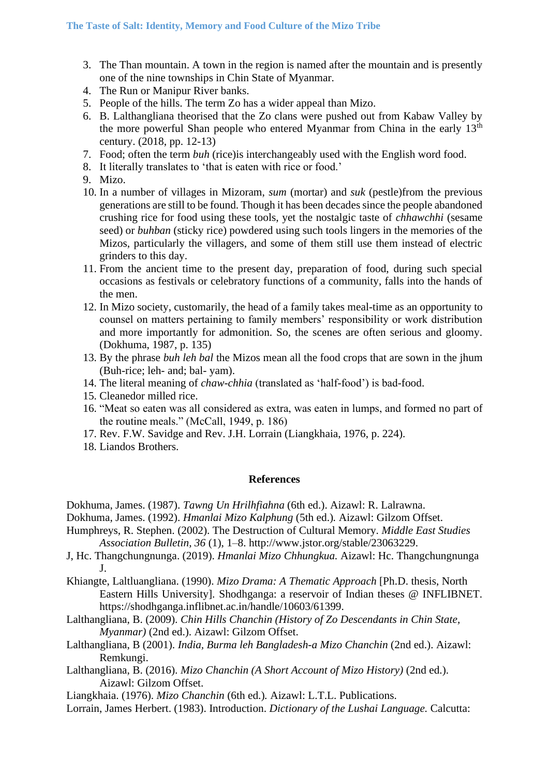- 3. The Than mountain. A town in the region is named after the mountain and is presently one of the nine townships in Chin State of Myanmar.
- 4. The Run or Manipur River banks.
- 5. People of the hills. The term Zo has a wider appeal than Mizo.
- 6. B. Lalthangliana theorised that the Zo clans were pushed out from Kabaw Valley by the more powerful Shan people who entered Myanmar from China in the early 13<sup>th</sup> century. (2018, pp. 12-13)
- 7. Food; often the term *buh* (rice)is interchangeably used with the English word food.
- 8. It literally translates to 'that is eaten with rice or food.'
- 9. Mizo.
- 10. In a number of villages in Mizoram, *sum* (mortar) and *suk* (pestle)from the previous generations are still to be found. Though it has been decades since the people abandoned crushing rice for food using these tools, yet the nostalgic taste of *chhawchhi* (sesame seed) or *buhban* (sticky rice) powdered using such tools lingers in the memories of the Mizos, particularly the villagers, and some of them still use them instead of electric grinders to this day.
- 11. From the ancient time to the present day, preparation of food, during such special occasions as festivals or celebratory functions of a community, falls into the hands of the men.
- 12. In Mizo society, customarily, the head of a family takes meal-time as an opportunity to counsel on matters pertaining to family members' responsibility or work distribution and more importantly for admonition. So, the scenes are often serious and gloomy. (Dokhuma, 1987, p. 135)
- 13. By the phrase *buh leh bal* the Mizos mean all the food crops that are sown in the jhum (Buh-rice; leh- and; bal- yam).
- 14. The literal meaning of *chaw-chhia* (translated as 'half-food') is bad-food.
- 15. Cleanedor milled rice.
- 16. "Meat so eaten was all considered as extra, was eaten in lumps, and formed no part of the routine meals." (McCall, 1949, p. 186)
- 17. Rev. F.W. Savidge and Rev. J.H. Lorrain (Liangkhaia, 1976, p. 224).
- 18. Liandos Brothers.

#### **References**

Dokhuma, James. (1987). *Tawng Un Hrilhfiahna* (6th ed.). Aizawl: R. Lalrawna.

- Dokhuma, James. (1992). *Hmanlai Mizo Kalphung* (5th ed.)*.* Aizawl: Gilzom Offset.
- Humphreys, R. Stephen. (2002). The Destruction of Cultural Memory. *Middle East Studies Association Bulletin, 36* (1), 1–8. http://www.jstor.org/stable/23063229.
- J, Hc. Thangchungnunga. (2019). *Hmanlai Mizo Chhungkua.* Aizawl: Hc. Thangchungnunga J.
- Khiangte, Laltluangliana. (1990). *Mizo Drama: A Thematic Approach* [Ph.D. thesis, North Eastern Hills University]*.* Shodhganga: a reservoir of Indian theses @ INFLIBNET. https://shodhganga.inflibnet.ac.in/handle/10603/61399.
- Lalthangliana, B. (2009). *Chin Hills Chanchin (History of Zo Descendants in Chin State, Myanmar)* (2nd ed.). Aizawl: Gilzom Offset.
- Lalthangliana, B (2001). *India, Burma leh Bangladesh-a Mizo Chanchin* (2nd ed.). Aizawl: Remkungi.
- Lalthangliana, B. (2016). *Mizo Chanchin (A Short Account of Mizo History)* (2nd ed.). Aizawl: Gilzom Offset.
- Liangkhaia. (1976). *Mizo Chanchin* (6th ed.)*.* Aizawl: L.T.L. Publications.
- Lorrain, James Herbert. (1983). Introduction. *Dictionary of the Lushai Language.* Calcutta: